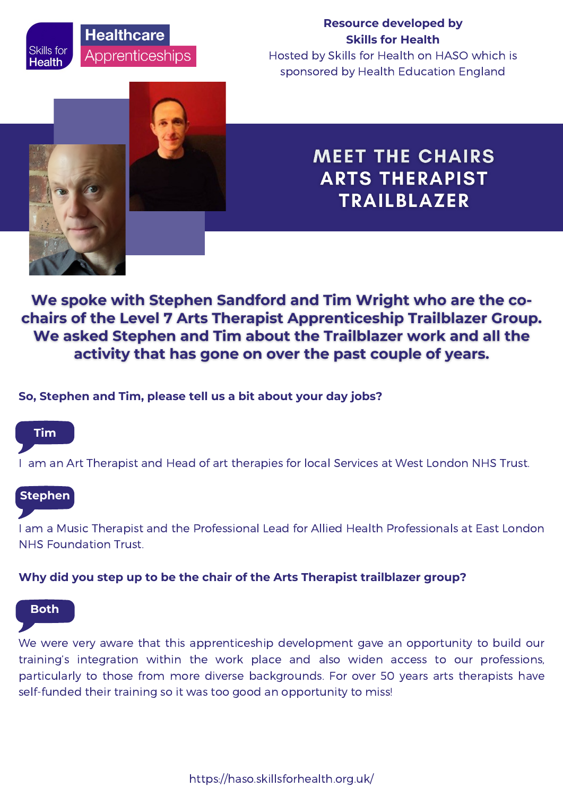# **Healthcare** Apprenticeships

## **Resource developed by Skills for Health**

Hosted by Skills for Health on HASO which is sponsored by Health Education England



# **MEET THE CHAIRS ARTS THERAPIST TRAILBLAZER**

We spoke with Stephen Sandford and Tim Wright who are the cochairs of the Level 7 Arts Therapist Apprenticeship Trailblazer Group. We asked Stephen and Tim about the Trailblazer work and all the activity that has gone on over the past couple of years.

## **So, Stephen and Tim, please tell us a bit about your day jobs?**

## **Tim**

Skills for

Health

I am an Art Therapist and Head of art therapies for local Services at West London NHS Trust.

## **Stephen**

I am a Music Therapist and the Professional Lead for Allied Health Professionals at East London NHS Foundation Trust.

## **Why did you step up to be the chair of the Arts Therapist trailblazer group?**

#### **Both**

We were very aware that this apprenticeship development gave an opportunity to build our training's integration within the work place and also widen access to our professions, particularly to those from more diverse backgrounds. For over 50 years arts therapists have self-funded their training so it was too good an opportunity to miss!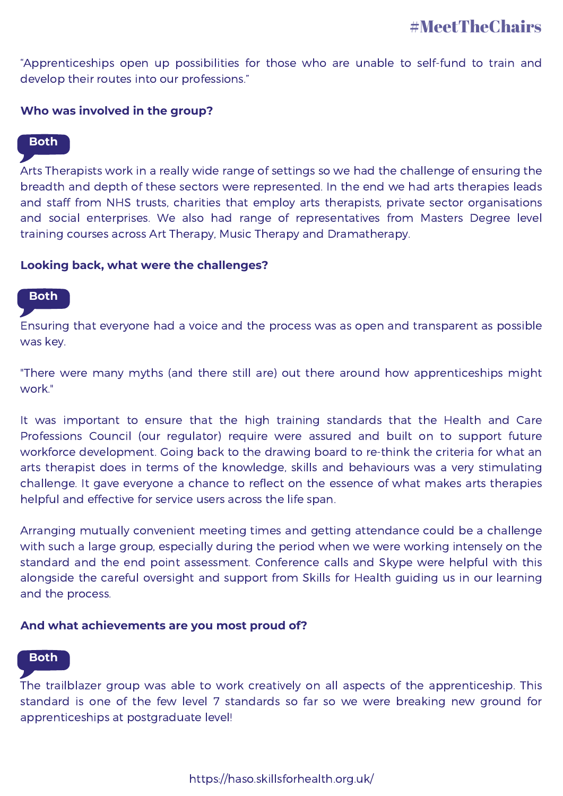"Apprenticeships open up possibilities for those who are unable to self-fund to train and develop their routes into our professions."

#### **Who was involved in the group?**

### **Both**

Arts Therapists work in a really wide range of settings so we had the challenge of ensuring the breadth and depth of these sectors were represented. In the end we had arts therapies leads and staff from NHS trusts, charities that employ arts therapists, private sector organisations and social enterprises. We also had range of representatives from Masters Degree level training courses across Art Therapy, Music Therapy and Dramatherapy.

#### **Looking back, what were the challenges?**

## **Both**

Ensuring that everyone had a voice and the process was as open and transparent as possible was key.

"There were many myths (and there still are) out there around how apprenticeships might work."

It was important to ensure that the high training standards that the Health and Care Professions Council (our regulator) require were assured and built on to support future workforce development. Going back to the drawing board to re-think the criteria for what an arts therapist does in terms of the knowledge, skills and behaviours was a very stimulating challenge. It gave everyone a chance to reflect on the essence of what makes arts therapies helpful and effective for service users across the life span.

Arranging mutually convenient meeting times and getting attendance could be a challenge with such a large group, especially during the period when we were working intensely on the standard and the end point assessment. Conference calls and Skype were helpful with this alongside the careful oversight and support from Skills for Health guiding us in our learning and the process.

#### **And what achievements are you most proud of?**

#### **Both**

The trailblazer group was able to work creatively on all aspects of the apprenticeship. This standard is one of the few level 7 standards so far so we were breaking new ground for apprenticeships at postgraduate level!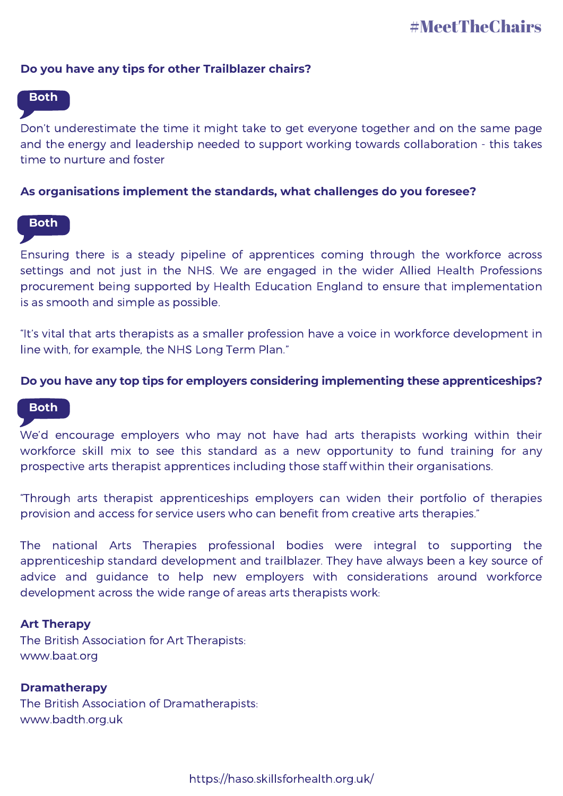#### **Do you have any tips for other Trailblazer chairs?**

## **Both**

Don't underestimate the time it might take to get everyone together and on the same page and the energy and leadership needed to support working towards collaboration - this takes time to nurture and foster

#### **As organisations implement the standards, what challenges do you foresee?**

#### **Both**

Ensuring there is a steady pipeline of apprentices coming through the workforce across settings and not just in the NHS. We are engaged in the wider Allied Health Professions procurement being supported by Health Education England to ensure that implementation is as smooth and simple as possible.

"It's vital that arts therapists as a smaller profession have a voice in workforce development in line with, for example, the NHS Long Term Plan."

#### **Do you have any top tips for employers considering implementing these apprenticeships?**

#### **Both**

We'd encourage employers who may not have had arts therapists working within their workforce skill mix to see this standard as a new opportunity to fund training for any prospective arts therapist apprentices including those staff within their organisations.

"Through arts therapist apprenticeships employers can widen their portfolio of therapies provision and access for service users who can benefit from creative arts therapies."

The national Arts Therapies professional bodies were integral to supporting the apprenticeship standard development and trailblazer. They have always been a key source of advice and guidance to help new employers with considerations around workforce development across the wide range of areas arts therapists work:

#### **Art Therapy**

The British Association for Art Therapists: www.baat.org

#### **Dramatherapy**

The British Association of Dramatherapists: www.badth.org.uk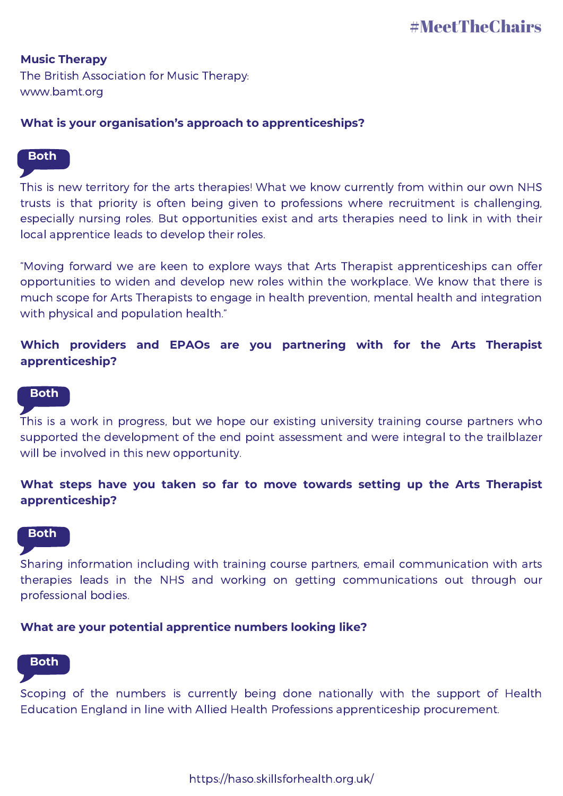**Music Therapy** The British Association for Music Therapy: www.bamt.org

## **What is your organisation's approach to apprenticeships?**

#### **Both**

This is new territory for the arts therapies! What we know currently from within our own NHS trusts is that priority is often being given to professions where recruitment is challenging, especially nursing roles. But opportunities exist and arts therapies need to link in with their local apprentice leads to develop their roles.

"Moving forward we are keen to explore ways that Arts Therapist apprenticeships can offer opportunities to widen and develop new roles within the workplace. We know that there is much scope for Arts Therapists to engage in health prevention, mental health and integration with physical and population health."

## **Which providers and EPAOs are you partnering with for the Arts Therapist apprenticeship?**

#### **Both**

This is a work in progress, but we hope our existing university training course partners who supported the development of the end point assessment and were integral to the trailblazer will be involved in this new opportunity.

## **What steps have you taken so far to move towards setting up the Arts Therapist apprenticeship?**

#### **Both**

Sharing information including with training course partners, email communication with arts therapies leads in the NHS and working on getting communications out through our professional bodies.

#### **What are your potential apprentice numbers looking like?**

## **Both**

Scoping of the numbers is currently being done nationally with the support of Health Education England in line with Allied Health Professions apprenticeship procurement.

https://haso.skillsforhealth.org.uk/